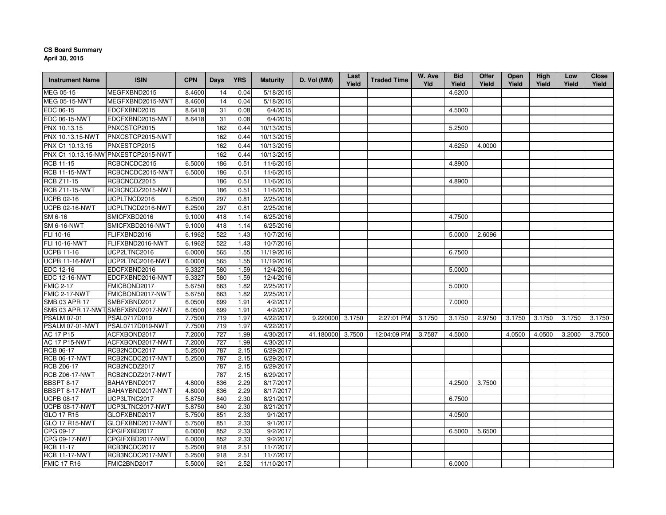## **CS Board SummaryApril 30, 2015**

| <b>Instrument Name</b>                     | <b>ISIN</b>                         | <b>CPN</b>       | <b>Days</b> | <b>YRS</b>   | <b>Maturity</b>         | D. Vol (MM) | Last<br>Yield | <b>Traded Time</b> | W. Ave<br>Yld | <b>Bid</b><br>Yield | <b>Offer</b><br>Yield | <b>Open</b><br>Yield | High<br>Yield | Low<br>Yield | Close<br>Yield |
|--------------------------------------------|-------------------------------------|------------------|-------------|--------------|-------------------------|-------------|---------------|--------------------|---------------|---------------------|-----------------------|----------------------|---------------|--------------|----------------|
| MEG 05-15                                  | MEGFXBND2015                        | 8.4600           | 14          | 0.04         | 5/18/2015               |             |               |                    |               | 4.6200              |                       |                      |               |              |                |
| <b>MEG 05-15-NWT</b>                       | MEGFXBND2015-NWT                    | 8.4600           | 14          | 0.04         | 5/18/2015               |             |               |                    |               |                     |                       |                      |               |              |                |
| EDC 06-15                                  | EDCFXBND2015                        | 8.6418           | 31          | 0.08         | 6/4/2015                |             |               |                    |               | 4.5000              |                       |                      |               |              |                |
| EDC 06-15-NWT                              | EDCFXBND2015-NWT                    | 8.6418           | 31          | 0.08         | 6/4/2015                |             |               |                    |               |                     |                       |                      |               |              |                |
| PNX 10.13.15                               | PNXCSTCP2015                        |                  | 162         | 0.44         | 10/13/2015              |             |               |                    |               | 5.2500              |                       |                      |               |              |                |
| PNX 10.13.15-NWT                           | PNXCSTCP2015-NWT                    |                  | 162         | 0.44         | 10/13/2015              |             |               |                    |               |                     |                       |                      |               |              |                |
| PNX C1 10.13.15                            | PNXESTCP2015                        |                  | 162         | 0.44         | 10/13/2015              |             |               |                    |               | 4.6250              | 4.0000                |                      |               |              |                |
|                                            | PNX C1 10.13.15-NW PNXESTCP2015-NWT |                  | 162         | 0.44         | 10/13/2015              |             |               |                    |               |                     |                       |                      |               |              |                |
| <b>RCB 11-15</b>                           | RCBCNCDC2015                        | 6.5000           | 186         | 0.51         | 11/6/2015               |             |               |                    |               | 4.8900              |                       |                      |               |              |                |
| <b>RCB 11-15-NWT</b>                       | RCBCNCDC2015-NWT                    | 6.5000           | 186         | 0.51         | 11/6/2015               |             |               |                    |               |                     |                       |                      |               |              |                |
| <b>RCB Z11-15</b>                          | RCBCNCDZ2015                        |                  | 186         | 0.51         | 11/6/2015               |             |               |                    |               | 4.8900              |                       |                      |               |              |                |
| RCB Z11-15-NWT                             | RCBCNCDZ2015-NWT                    |                  | 186         | 0.51         | 11/6/2015               |             |               |                    |               |                     |                       |                      |               |              |                |
| <b>UCPB 02-16</b>                          | UCPLTNCD2016                        | 6.2500           | 297         | 0.81         | 2/25/2016               |             |               |                    |               |                     |                       |                      |               |              |                |
| <b>UCPB 02-16-NWT</b>                      | UCPLTNCD2016-NWT                    | 6.2500           | 297         | 0.81         | 2/25/2016               |             |               |                    |               |                     |                       |                      |               |              |                |
| SM 6-16                                    | SMICFXBD2016                        | 9.1000           | 418         | 1.14         | 6/25/2016               |             |               |                    |               | 4.7500              |                       |                      |               |              |                |
| <b>SM 6-16-NWT</b>                         | SMICFXBD2016-NWT                    | 9.1000           | 418         | 1.14         | 6/25/2016               |             |               |                    |               |                     |                       |                      |               |              |                |
| FLI 10-16                                  | FLIFXBND2016                        | 6.1962           | 522         | 1.43         | 10/7/2016               |             |               |                    |               | 5.0000              | 2.6096                |                      |               |              |                |
| <b>FLI 10-16-NWT</b>                       | FLIFXBND2016-NWT                    | 6.1962           | 522         | 1.43         | 10/7/2016               |             |               |                    |               |                     |                       |                      |               |              |                |
| <b>UCPB 11-16</b>                          | UCP2LTNC2016                        | 6.0000           | 565         | 1.55         | 11/19/2016              |             |               |                    |               | 6.7500              |                       |                      |               |              |                |
| <b>UCPB 11-16-NWT</b>                      | UCP2LTNC2016-NWT                    | 6.0000           | 565         | 1.55         | 11/19/2016              |             |               |                    |               |                     |                       |                      |               |              |                |
| EDC 12-16                                  | EDCFXBND2016                        | 9.3327           | 580         | 1.59         | 12/4/2016               |             |               |                    |               | 5.0000              |                       |                      |               |              |                |
| <b>EDC 12-16-NWT</b>                       | EDCFXBND2016-NWT                    | 9.3327           | 580         | 1.59         | 12/4/2016               |             |               |                    |               |                     |                       |                      |               |              |                |
| <b>FMIC 2-17</b>                           | FMICBOND2017                        | 5.6750           | 663         | 1.82         | 2/25/2017               |             |               |                    |               | 5.0000              |                       |                      |               |              |                |
| <b>FMIC 2-17-NWT</b>                       | FMICBOND2017-NWT                    | 5.6750           | 663         | 1.82         | 2/25/2017               |             |               |                    |               |                     |                       |                      |               |              |                |
| SMB 03 APR 17                              | SMBFXBND2017                        | 6.0500           | 699         | 1.91         | 4/2/2017                |             |               |                    |               | 7.0000              |                       |                      |               |              |                |
|                                            | SMB 03 APR 17-NWTSMBFXBND2017-NWT   | 6.0500           | 699         | 1.91         | 4/2/2017                |             |               |                    |               |                     |                       |                      |               |              |                |
| <b>PSALM 07-01</b>                         | PSAL0717D019                        | 7.7500           | 719         | 1.97         | 4/22/2017               | 9.220000    | 3.1750        | 2:27:01 PM         | 3.1750        | 3.1750              | 2.9750                | 3.1750               | 3.1750        | 3.1750       | 3.1750         |
| PSALM 07-01-NWT                            | PSAL0717D019-NWT                    | 7.7500           | 719         | 1.97         | 4/22/2017               |             |               |                    |               |                     |                       |                      |               |              |                |
| <b>AC 17 P15</b><br><b>AC 17 P15-NWT</b>   | ACFXBOND2017                        | 7.2000           | 727<br>727  | 1.99         | 4/30/2017<br>4/30/2017  | 41.180000   | 3.7500        | 12:04:09 PM        | 3.7587        | 4.5000              |                       | 4.0500               | 4.0500        | 3.2000       | 3.7500         |
| RCB 06-17                                  | ACFXBOND2017-NWT<br>RCB2NCDC2017    | 7.2000<br>5.2500 | 787         | 1.99<br>2.15 | 6/29/2017               |             |               |                    |               |                     |                       |                      |               |              |                |
| <b>RCB 06-17-NWT</b>                       | RCB2NCDC2017-NWT                    | 5.2500           | 787         | 2.15         | 6/29/2017               |             |               |                    |               |                     |                       |                      |               |              |                |
| <b>RCB Z06-17</b>                          | RCB2NCDZ2017                        |                  | 787         | 2.15         | 6/29/2017               |             |               |                    |               |                     |                       |                      |               |              |                |
| <b>RCB Z06-17-NWT</b>                      | RCB2NCDZ2017-NWT                    |                  | 787         | 2.15         | 6/29/2017               |             |               |                    |               |                     |                       |                      |               |              |                |
| <b>BBSPT 8-17</b>                          | BAHAYBND2017                        | 4.8000           | 836         | 2.29         | 8/17/2017               |             |               |                    |               | 4.2500              | 3.7500                |                      |               |              |                |
| BBSPT 8-17-NWT                             | BAHAYBND2017-NWT                    | 4.8000           | 836         | 2.29         | 8/17/2017               |             |               |                    |               |                     |                       |                      |               |              |                |
| <b>UCPB 08-17</b>                          | UCP3LTNC2017                        | 5.8750           | 840         | 2.30         | 8/21/2017               |             |               |                    |               | 6.7500              |                       |                      |               |              |                |
| <b>UCPB 08-17-NWT</b>                      | UCP3LTNC2017-NWT                    | 5.8750           | 840         | 2.30         | 8/21/2017               |             |               |                    |               |                     |                       |                      |               |              |                |
| GLO 17 R15                                 | GLOFXBND2017                        | 5.7500           | 851         | 2.33         | 9/1/2017                |             |               |                    |               | 4.0500              |                       |                      |               |              |                |
| <b>GLO 17 R15-NWT</b>                      | GLOFXBND2017-NWT                    | 5.7500           | 851         | 2.33         | 9/1/2017                |             |               |                    |               |                     |                       |                      |               |              |                |
| CPG 09-17                                  | CPGIFXBD2017                        | 6.0000           | 852         | 2.33         | 9/2/2017                |             |               |                    |               | 6.5000              | 5.6500                |                      |               |              |                |
| CPG 09-17-NWT                              | CPGIFXBD2017-NWT                    | 6.0000           | 852         | 2.33         | 9/2/2017                |             |               |                    |               |                     |                       |                      |               |              |                |
| <b>RCB 11-17</b>                           | RCB3NCDC2017                        | 5.2500           | 918         | 2.51         | 11/7/2017               |             |               |                    |               |                     |                       |                      |               |              |                |
| <b>RCB 11-17-NWT</b><br><b>FMIC 17 R16</b> | RCB3NCDC2017-NWT<br>FMIC2BND2017    | 5.2500<br>5.5000 | 918<br>921  | 2.51<br>2.52 | 11/7/2017<br>11/10/2017 |             |               |                    |               | 6.0000              |                       |                      |               |              |                |
|                                            |                                     |                  |             |              |                         |             |               |                    |               |                     |                       |                      |               |              |                |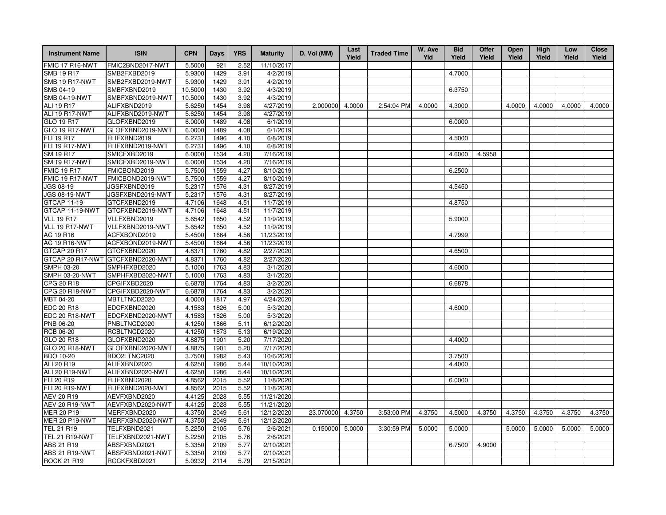| <b>Instrument Name</b> | <b>ISIN</b>      | <b>CPN</b> | Days | <b>YRS</b> | <b>Maturity</b> | D. Vol (MM) | Last<br>Yield | <b>Traded Time</b> | W. Ave<br>Yld | <b>Bid</b><br>Yield | <b>Offer</b><br>Yield | <b>Open</b><br>Yield | High<br>Yield | Low<br>Yield | <b>Close</b><br>Yield |
|------------------------|------------------|------------|------|------------|-----------------|-------------|---------------|--------------------|---------------|---------------------|-----------------------|----------------------|---------------|--------------|-----------------------|
| FMIC 17 R16-NWT        | FMIC2BND2017-NWT | 5.5000     | 921  | 2.52       | 11/10/2017      |             |               |                    |               |                     |                       |                      |               |              |                       |
| SMB 19 R17             | SMB2FXBD2019     | 5.9300     | 1429 | 3.91       | 4/2/2019        |             |               |                    |               | 4.7000              |                       |                      |               |              |                       |
| <b>SMB 19 R17-NWT</b>  | SMB2FXBD2019-NWT | 5.9300     | 1429 | 3.91       | 4/2/2019        |             |               |                    |               |                     |                       |                      |               |              |                       |
| SMB 04-19              | SMBFXBND2019     | 10.5000    | 1430 | 3.92       | 4/3/2019        |             |               |                    |               | 6.3750              |                       |                      |               |              |                       |
| <b>SMB 04-19-NWT</b>   | SMBFXBND2019-NWT | 10.5000    | 1430 | 3.92       | 4/3/2019        |             |               |                    |               |                     |                       |                      |               |              |                       |
| <b>ALI 19 R17</b>      | ALIFXBND2019     | 5.6250     | 1454 | 3.98       | 4/27/2019       | 2.000000    | 4.0000        | 2:54:04 PM         | 4.0000        | 4.3000              |                       | 4.0000               | 4.0000        | 4.0000       | 4.0000                |
| ALI 19 R17-NWT         | ALIFXBND2019-NWT | 5.6250     | 1454 | 3.98       | 4/27/2019       |             |               |                    |               |                     |                       |                      |               |              |                       |
| GLO 19 R17             | GLOFXBND2019     | 6.0000     | 1489 | 4.08       | 6/1/2019        |             |               |                    |               | 6.0000              |                       |                      |               |              |                       |
| <b>GLO 19 R17-NWT</b>  | GLOFXBND2019-NWT | 6.0000     | 1489 | 4.08       | 6/1/2019        |             |               |                    |               |                     |                       |                      |               |              |                       |
| FLI 19 R17             | FLIFXBND2019     | 6.2731     | 1496 | 4.10       | 6/8/2019        |             |               |                    |               | 4.5000              |                       |                      |               |              |                       |
| FLI 19 R17-NWT         | FLIFXBND2019-NWT | 6.2731     | 1496 | 4.10       | 6/8/2019        |             |               |                    |               |                     |                       |                      |               |              |                       |
| SM 19 R17              | SMICFXBD2019     | 6.0000     | 1534 | 4.20       | 7/16/2019       |             |               |                    |               | 4.6000              | 4.5958                |                      |               |              |                       |
| <b>SM 19 R17-NWT</b>   | SMICFXBD2019-NWT | 6.0000     | 1534 | 4.20       | 7/16/2019       |             |               |                    |               |                     |                       |                      |               |              |                       |
| <b>FMIC 19 R17</b>     | FMICBOND2019     | 5.7500     | 1559 | 4.27       | 8/10/2019       |             |               |                    |               | 6.2500              |                       |                      |               |              |                       |
| FMIC 19 R17-NWT        | FMICBOND2019-NWT | 5.7500     | 1559 | 4.27       | 8/10/2019       |             |               |                    |               |                     |                       |                      |               |              |                       |
| JGS 08-19              | JGSFXBND2019     | 5.2317     | 1576 | 4.31       | 8/27/2019       |             |               |                    |               | 4.5450              |                       |                      |               |              |                       |
| <b>JGS 08-19-NWT</b>   | JGSFXBND2019-NWT | 5.2317     | 1576 | 4.31       | 8/27/2019       |             |               |                    |               |                     |                       |                      |               |              |                       |
| <b>GTCAP 11-19</b>     | GTCFXBND2019     | 4.7106     | 1648 | 4.51       | 11/7/2019       |             |               |                    |               | 4.8750              |                       |                      |               |              |                       |
| GTCAP 11-19-NWT        | GTCFXBND2019-NWT | 4.7106     | 1648 | 4.51       | 11/7/2019       |             |               |                    |               |                     |                       |                      |               |              |                       |
| <b>VLL 19 R17</b>      | VLLFXBND2019     | 5.6542     | 1650 | 4.52       | 11/9/2019       |             |               |                    |               | 5.9000              |                       |                      |               |              |                       |
| VLL 19 R17-NWT         | VLLFXBND2019-NWT | 5.6542     | 1650 | 4.52       | 11/9/2019       |             |               |                    |               |                     |                       |                      |               |              |                       |
| AC 19 R16              | ACFXBOND2019     | 5.4500     | 1664 | 4.56       | 11/23/2019      |             |               |                    |               | 4.7999              |                       |                      |               |              |                       |
| <b>AC 19 R16-NWT</b>   | ACFXBOND2019-NWT | 5.4500     | 1664 | 4.56       | 11/23/2019      |             |               |                    |               |                     |                       |                      |               |              |                       |
| GTCAP 20 R17           | GTCFXBND2020     | 4.8371     | 1760 | 4.82       | 2/27/2020       |             |               |                    |               | 4.6500              |                       |                      |               |              |                       |
| GTCAP 20 R17-NWT       | GTCFXBND2020-NWT | 4.8371     | 1760 | 4.82       | 2/27/2020       |             |               |                    |               |                     |                       |                      |               |              |                       |
| SMPH 03-20             | SMPHFXBD2020     | 5.1000     | 1763 | 4.83       | 3/1/2020        |             |               |                    |               | 4.6000              |                       |                      |               |              |                       |
| SMPH 03-20-NWT         | SMPHFXBD2020-NWT | 5.1000     | 1763 | 4.83       | 3/1/2020        |             |               |                    |               |                     |                       |                      |               |              |                       |
| CPG 20 R18             | CPGIFXBD2020     | 6.6878     | 1764 | 4.83       | 3/2/2020        |             |               |                    |               | 6.6878              |                       |                      |               |              |                       |
| CPG 20 R18-NWT         | CPGIFXBD2020-NWT | 6.6878     | 1764 | 4.83       | 3/2/2020        |             |               |                    |               |                     |                       |                      |               |              |                       |
| MBT 04-20              | MBTLTNCD2020     | 4.0000     | 1817 | 4.97       | 4/24/2020       |             |               |                    |               |                     |                       |                      |               |              |                       |
| <b>EDC 20 R18</b>      | EDCFXBND2020     | 4.1583     | 1826 | 5.00       | 5/3/2020        |             |               |                    |               | 4.6000              |                       |                      |               |              |                       |
| EDC 20 R18-NWT         | EDCFXBND2020-NWT | 4.1583     | 1826 | 5.00       | 5/3/2020        |             |               |                    |               |                     |                       |                      |               |              |                       |
| PNB 06-20              | PNBLTNCD2020     | 4.1250     | 1866 | 5.11       | 6/12/2020       |             |               |                    |               |                     |                       |                      |               |              |                       |
| RCB 06-20              | RCBLTNCD2020     | 4.1250     | 1873 | 5.13       | 6/19/2020       |             |               |                    |               |                     |                       |                      |               |              |                       |
| GLO 20 R18             | GLOFXBND2020     | 4.8875     | 1901 | 5.20       | 7/17/2020       |             |               |                    |               | 4.4000              |                       |                      |               |              |                       |
| <b>GLO 20 R18-NWT</b>  | GLOFXBND2020-NWT | 4.8875     | 1901 | 5.20       | 7/17/2020       |             |               |                    |               |                     |                       |                      |               |              |                       |
| <b>BDO 10-20</b>       | BDO2LTNC2020     | 3.7500     | 1982 | 5.43       | 10/6/2020       |             |               |                    |               | 3.7500              |                       |                      |               |              |                       |
| ALI 20 R19             | ALIFXBND2020     | 4.6250     | 1986 | 5.44       | 10/10/2020      |             |               |                    |               | 4.4000              |                       |                      |               |              |                       |
| ALI 20 R19-NWT         | ALIFXBND2020-NWT | 4.6250     | 1986 | 5.44       | 10/10/2020      |             |               |                    |               |                     |                       |                      |               |              |                       |
| <b>FLI 20 R19</b>      | FLIFXBND2020     | 4.8562     | 2015 | 5.52       | 11/8/2020       |             |               |                    |               | 6.0000              |                       |                      |               |              |                       |
| FLI 20 R19-NWT         | FLIFXBND2020-NWT | 4.8562     | 2015 | 5.52       | 11/8/2020       |             |               |                    |               |                     |                       |                      |               |              |                       |
| AEV 20 R19             | AEVFXBND2020     | 4.4125     | 2028 | 5.55       | 11/21/2020      |             |               |                    |               |                     |                       |                      |               |              |                       |
| <b>AEV 20 R19-NWT</b>  | AEVFXBND2020-NWT | 4.4125     | 2028 | 5.55       | 11/21/2020      |             |               |                    |               |                     |                       |                      |               |              |                       |
| <b>MER 20 P19</b>      | MERFXBND2020     | 4.3750     | 2049 | 5.61       | 12/12/2020      | 23.070000   | 4.3750        | 3:53:00 PM         | 4.3750        | 4.5000              | 4.3750                | 4.3750               | 4.3750        | 4.3750       | 4.3750                |
| <b>MER 20 P19-NWT</b>  | MERFXBND2020-NWT | 4.3750     | 2049 | 5.61       | 12/12/2020      |             |               |                    |               |                     |                       |                      |               |              |                       |
| <b>TEL 21 R19</b>      | TELFXBND2021     | 5.2250     | 2105 | 5.76       | 2/6/2021        | 0.150000    | 5.0000        | 3:30:59 PM         | 5.0000        | 5.0000              |                       | 5.0000               | 5.0000        | 5.0000       | 5.0000                |
| <b>TEL 21 R19-NWT</b>  | TELFXBND2021-NWT | 5.2250     | 2105 | 5.76       | 2/6/2021        |             |               |                    |               |                     |                       |                      |               |              |                       |
| ABS 21 R19             | ABSFXBND2021     | 5.3350     | 2109 | 5.77       | 2/10/2021       |             |               |                    |               | 6.7500              | 4.9000                |                      |               |              |                       |
| ABS 21 R19-NWT         | ABSFXBND2021-NWT | 5.3350     | 2109 | 5.77       | 2/10/2021       |             |               |                    |               |                     |                       |                      |               |              |                       |
| <b>ROCK 21 R19</b>     | ROCKFXBD2021     | 5.0932     | 2114 | 5.79       | 2/15/2021       |             |               |                    |               |                     |                       |                      |               |              |                       |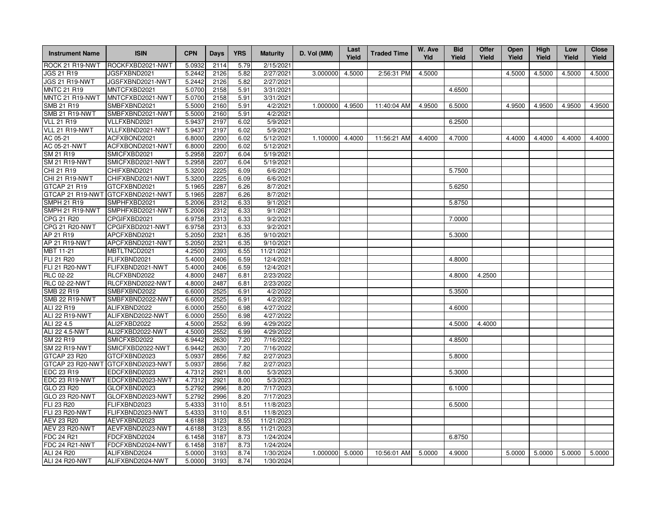| <b>Instrument Name</b> | <b>ISIN</b>      | <b>CPN</b> | Days | <b>YRS</b> | <b>Maturity</b> | D. Vol (MM) | Last<br>Yield | <b>Traded Time</b> | W. Ave<br>Yld | <b>Bid</b><br>Yield | Offer<br>Yield | Open<br>Yield | High<br>Yield | Low<br>Yield | <b>Close</b><br>Yield |
|------------------------|------------------|------------|------|------------|-----------------|-------------|---------------|--------------------|---------------|---------------------|----------------|---------------|---------------|--------------|-----------------------|
| ROCK 21 R19-NWT        | ROCKFXBD2021-NWT | 5.0932     | 2114 | 5.79       | 2/15/2021       |             |               |                    |               |                     |                |               |               |              |                       |
| JGS 21 R19             | JGSFXBND2021     | 5.2442     | 2126 | 5.82       | 2/27/2021       | 3.000000    | 4.5000        | 2:56:31 PM         | 4.5000        |                     |                | 4.5000        | 4.5000        | 4.5000       | 4.5000                |
| JGS 21 R19-NWT         | JGSFXBND2021-NWT | 5.2442     | 2126 | 5.82       | 2/27/2021       |             |               |                    |               |                     |                |               |               |              |                       |
| <b>MNTC 21 R19</b>     | MNTCFXBD2021     | 5.0700     | 2158 | 5.91       | 3/31/2021       |             |               |                    |               | 4.6500              |                |               |               |              |                       |
| MNTC 21 R19-NWT        | MNTCFXBD2021-NWT | 5.0700     | 2158 | 5.91       | 3/31/2021       |             |               |                    |               |                     |                |               |               |              |                       |
| SMB 21 R19             | SMBFXBND2021     | 5.5000     | 2160 | 5.91       | 4/2/2021        | 1.000000    | 4.9500        | 11:40:04 AM        | 4.9500        | 6.5000              |                | 4.9500        | 4.9500        | 4.9500       | 4.9500                |
| <b>SMB 21 R19-NWT</b>  | SMBFXBND2021-NWT | 5.5000     | 2160 | 5.91       | 4/2/2021        |             |               |                    |               |                     |                |               |               |              |                       |
| <b>VLL 21 R19</b>      | VLLFXBND2021     | 5.9437     | 2197 | 6.02       | 5/9/2021        |             |               |                    |               | 6.2500              |                |               |               |              |                       |
| VLL 21 R19-NWT         | VLLFXBND2021-NWT | 5.9437     | 2197 | 6.02       | 5/9/2021        |             |               |                    |               |                     |                |               |               |              |                       |
| AC 05-21               | ACFXBOND2021     | 6.8000     | 2200 | 6.02       | 5/12/2021       | 1.100000    | 4.4000        | 11:56:21 AM        | 4.4000        | 4.7000              |                | 4.4000        | 4.4000        | 4.4000       | 4.4000                |
| AC 05-21-NWT           | ACFXBOND2021-NWT | 6.8000     | 2200 | 6.02       | 5/12/2021       |             |               |                    |               |                     |                |               |               |              |                       |
| SM 21 R19              | SMICFXBD2021     | 5.2958     | 2207 | 6.04       | 5/19/2021       |             |               |                    |               |                     |                |               |               |              |                       |
| <b>SM 21 R19-NWT</b>   | SMICFXBD2021-NWT | 5.2958     | 2207 | 6.04       | 5/19/2021       |             |               |                    |               |                     |                |               |               |              |                       |
| CHI 21 R19             | CHIFXBND2021     | 5.3200     | 2225 | 6.09       | 6/6/2021        |             |               |                    |               | 5.7500              |                |               |               |              |                       |
| CHI 21 R19-NWT         | CHIFXBND2021-NWT | 5.3200     | 2225 | 6.09       | 6/6/2021        |             |               |                    |               |                     |                |               |               |              |                       |
| GTCAP 21 R19           | GTCFXBND2021     | 5.1965     | 2287 | 6.26       | 8/7/2021        |             |               |                    |               | 5.6250              |                |               |               |              |                       |
| GTCAP 21 R19-NWT       | GTCFXBND2021-NWT | 5.1965     | 2287 | 6.26       | 8/7/2021        |             |               |                    |               |                     |                |               |               |              |                       |
| <b>SMPH 21 R19</b>     | SMPHFXBD2021     | 5.2006     | 2312 | 6.33       | 9/1/2021        |             |               |                    |               | 5.8750              |                |               |               |              |                       |
| SMPH 21 R19-NWT        | SMPHFXBD2021-NWT | 5.2006     | 2312 | 6.33       | 9/1/2021        |             |               |                    |               |                     |                |               |               |              |                       |
| CPG 21 R20             | CPGIFXBD2021     | 6.9758     | 2313 | 6.33       | 9/2/2021        |             |               |                    |               | 7.0000              |                |               |               |              |                       |
| CPG 21 R20-NWT         | CPGIFXBD2021-NWT | 6.9758     | 2313 | 6.33       | 9/2/2021        |             |               |                    |               |                     |                |               |               |              |                       |
| AP 21 R19              | APCFXBND2021     | 5.2050     | 2321 | 6.35       | 9/10/2021       |             |               |                    |               | 5.3000              |                |               |               |              |                       |
| AP 21 R19-NWT          | APCFXBND2021-NWT | 5.2050     | 2321 | 6.35       | 9/10/2021       |             |               |                    |               |                     |                |               |               |              |                       |
| MBT 11-21              | MBTLTNCD2021     | 4.2500     | 2393 | 6.55       | 11/21/2021      |             |               |                    |               |                     |                |               |               |              |                       |
| FLI 21 R20             | FLIFXBND2021     | 5.4000     | 2406 | 6.59       | 12/4/2021       |             |               |                    |               | 4.8000              |                |               |               |              |                       |
| FLI 21 R20-NWT         | FLIFXBND2021-NWT | 5.4000     | 2406 | 6.59       | 12/4/2021       |             |               |                    |               |                     |                |               |               |              |                       |
| <b>RLC 02-22</b>       | RLCFXBND2022     | 4.8000     | 2487 | 6.81       | 2/23/2022       |             |               |                    |               | 4.8000              | 4.2500         |               |               |              |                       |
| <b>RLC 02-22-NWT</b>   | RLCFXBND2022-NWT | 4.8000     | 2487 | 6.81       | 2/23/2022       |             |               |                    |               |                     |                |               |               |              |                       |
| SMB 22 R19             | SMBFXBND2022     | 6.6000     | 2525 | 6.91       | 4/2/2022        |             |               |                    |               | 5.3500              |                |               |               |              |                       |
| <b>SMB 22 R19-NWT</b>  | SMBFXBND2022-NWT | 6.6000     | 2525 | 6.91       | 4/2/2022        |             |               |                    |               |                     |                |               |               |              |                       |
| ALI 22 R19             | ALIFXBND2022     | 6.0000     | 2550 | 6.98       | 4/27/2022       |             |               |                    |               | 4.6000              |                |               |               |              |                       |
| <b>ALI 22 R19-NWT</b>  | ALIFXBND2022-NWT | 6.0000     | 2550 | 6.98       | 4/27/2022       |             |               |                    |               |                     |                |               |               |              |                       |
| ALI 22 4.5             | ALI2FXBD2022     | 4.5000     | 2552 | 6.99       | 4/29/2022       |             |               |                    |               | 4.5000              | 4.4000         |               |               |              |                       |
| ALI 22 4.5-NWT         | ALI2FXBD2022-NWT | 4.5000     | 2552 | 6.99       | 4/29/2022       |             |               |                    |               |                     |                |               |               |              |                       |
| SM 22 R19              | SMICFXBD2022     | 6.9442     | 2630 | 7.20       | 7/16/2022       |             |               |                    |               | 4.8500              |                |               |               |              |                       |
| <b>SM 22 R19-NWT</b>   | SMICFXBD2022-NWT | 6.9442     | 2630 | 7.20       | 7/16/2022       |             |               |                    |               |                     |                |               |               |              |                       |
| GTCAP 23 R20           | GTCFXBND2023     | 5.0937     | 2856 | 7.82       | 2/27/2023       |             |               |                    |               | 5.8000              |                |               |               |              |                       |
| GTCAP 23 R20-NWT       | GTCFXBND2023-NWT | 5.0937     | 2856 | 7.82       | 2/27/2023       |             |               |                    |               |                     |                |               |               |              |                       |
| EDC 23 R19             | EDCFXBND2023     | 4.7312     | 2921 | 8.00       | 5/3/2023        |             |               |                    |               | 5.3000              |                |               |               |              |                       |
| EDC 23 R19-NWT         | EDCFXBND2023-NWT | 4.7312     | 2921 | 8.00       | 5/3/2023        |             |               |                    |               |                     |                |               |               |              |                       |
| GLO 23 R20             | GLOFXBND2023     | 5.2792     | 2996 | 8.20       | 7/17/2023       |             |               |                    |               | 6.1000              |                |               |               |              |                       |
| GLO 23 R20-NWT         | GLOFXBND2023-NWT | 5.2792     | 2996 | 8.20       | 7/17/2023       |             |               |                    |               |                     |                |               |               |              |                       |
| FLI 23 R20             | FLIFXBND2023     | 5.4333     | 3110 | 8.51       | 11/8/2023       |             |               |                    |               | 6.5000              |                |               |               |              |                       |
| FLI 23 R20-NWT         | FLIFXBND2023-NWT | 5.4333     | 3110 | 8.51       | 11/8/2023       |             |               |                    |               |                     |                |               |               |              |                       |
| AEV 23 R20             | AEVFXBND2023     | 4.6188     | 3123 | 8.55       | 11/21/2023      |             |               |                    |               |                     |                |               |               |              |                       |
| AEV 23 R20-NWT         | AEVFXBND2023-NWT | 4.6188     | 3123 | 8.55       | 11/21/2023      |             |               |                    |               |                     |                |               |               |              |                       |
| <b>FDC 24 R21</b>      | FDCFXBND2024     | 6.1458     | 3187 | 8.73       | 1/24/2024       |             |               |                    |               | 6.8750              |                |               |               |              |                       |
| <b>FDC 24 R21-NWT</b>  | FDCFXBND2024-NWT | 6.1458     | 3187 | 8.73       | 1/24/2024       |             |               |                    |               |                     |                |               |               |              |                       |
| ALI 24 R20             | ALIFXBND2024     | 5.0000     | 3193 | 8.74       | 1/30/2024       | 1.000000    | 5.0000        | 10:56:01 AM        | 5.0000        | 4.9000              |                | 5.0000        | 5.0000        | 5.0000       | 5.0000                |
| <b>ALI 24 R20-NWT</b>  | ALIFXBND2024-NWT | 5.0000     | 3193 | 8.74       | 1/30/2024       |             |               |                    |               |                     |                |               |               |              |                       |